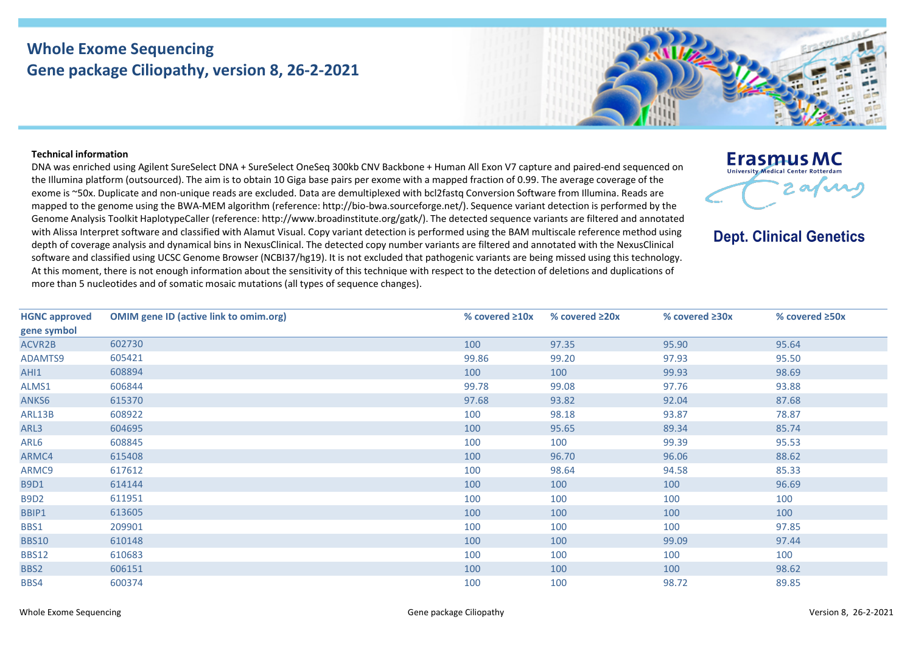## **Whole Exome Sequencing Gene package Ciliopathy, version 8, 26-2-2021**



## **Technical information**

DNA was enriched using Agilent SureSelect DNA + SureSelect OneSeq 300kb CNV Backbone + Human All Exon V7 capture and paired-end sequenced on the Illumina platform (outsourced). The aim is to obtain 10 Giga base pairs per exome with a mapped fraction of 0.99. The average coverage of the exome is ~50x. Duplicate and non-unique reads are excluded. Data are demultiplexed with bcl2fastq Conversion Software from Illumina. Reads are mapped to the genome using the BWA-MEM algorithm (reference: http://bio-bwa.sourceforge.net/). Sequence variant detection is performed by the Genome Analysis Toolkit HaplotypeCaller (reference: http://www.broadinstitute.org/gatk/). The detected sequence variants are filtered and annotated with Alissa Interpret software and classified with Alamut Visual. Copy variant detection is performed using the BAM multiscale reference method using depth of coverage analysis and dynamical bins in NexusClinical. The detected copy number variants are filtered and annotated with the NexusClinical software and classified using UCSC Genome Browser (NCBI37/hg19). It is not excluded that pathogenic variants are being missed using this technology. At this moment, there is not enough information about the sensitivity of this technique with respect to the detection of deletions and duplications of more than 5 nucleotides and of somatic mosaic mutations (all types of sequence changes).

**Erasmus MC** University Medical Center Rotterdan 2 afuns

**Dept. Clinical Genetics** 

| <b>HGNC approved</b> | <b>OMIM gene ID (active link to omim.org)</b> | % covered $\geq 10x$ | % covered $\geq 20x$ | % covered $\geq 30x$ | % covered $\geq 50x$ |
|----------------------|-----------------------------------------------|----------------------|----------------------|----------------------|----------------------|
| gene symbol          |                                               |                      |                      |                      |                      |
| ACVR2B               | 602730                                        | 100                  | 97.35                | 95.90                | 95.64                |
| ADAMTS9              | 605421                                        | 99.86                | 99.20                | 97.93                | 95.50                |
| AHI1                 | 608894                                        | 100                  | 100                  | 99.93                | 98.69                |
| ALMS1                | 606844                                        | 99.78                | 99.08                | 97.76                | 93.88                |
| ANKS6                | 615370                                        | 97.68                | 93.82                | 92.04                | 87.68                |
| ARL13B               | 608922                                        | 100                  | 98.18                | 93.87                | 78.87                |
| ARL3                 | 604695                                        | 100                  | 95.65                | 89.34                | 85.74                |
| ARL6                 | 608845                                        | 100                  | 100                  | 99.39                | 95.53                |
| ARMC4                | 615408                                        | 100                  | 96.70                | 96.06                | 88.62                |
| ARMC9                | 617612                                        | 100                  | 98.64                | 94.58                | 85.33                |
| <b>B9D1</b>          | 614144                                        | 100                  | 100                  | 100                  | 96.69                |
| <b>B9D2</b>          | 611951                                        | 100                  | 100                  | 100                  | 100                  |
| BBIP1                | 613605                                        | 100                  | 100                  | 100                  | 100                  |
| BBS1                 | 209901                                        | 100                  | 100                  | 100                  | 97.85                |
| <b>BBS10</b>         | 610148                                        | 100                  | 100                  | 99.09                | 97.44                |
| <b>BBS12</b>         | 610683                                        | 100                  | 100                  | 100                  | 100                  |
| BBS2                 | 606151                                        | 100                  | 100                  | 100                  | 98.62                |
| BBS4                 | 600374                                        | 100                  | 100                  | 98.72                | 89.85                |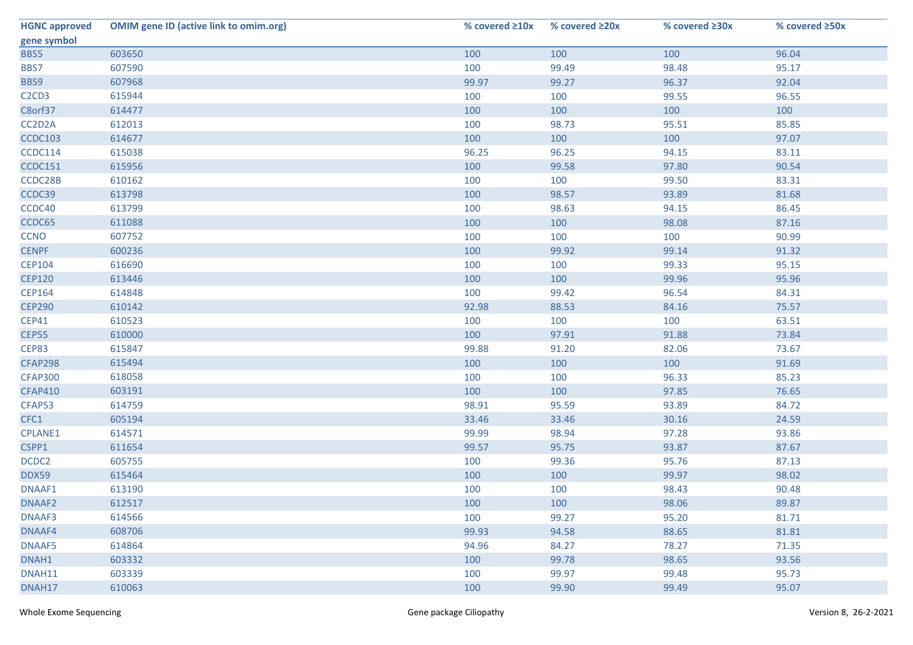| <b>HGNC approved</b>                       | <b>OMIM gene ID (active link to omim.org)</b> | % covered $\geq 10x$ | % covered ≥20x | % covered $\geq 30x$ | % covered ≥50x |
|--------------------------------------------|-----------------------------------------------|----------------------|----------------|----------------------|----------------|
| gene symbol                                |                                               |                      |                |                      |                |
| BBS5                                       | 603650                                        | 100                  | 100            | 100                  | 96.04          |
| BBS7                                       | 607590                                        | 100                  | 99.49          | 98.48                | 95.17          |
| BBS9                                       | 607968                                        | 99.97                | 99.27          | 96.37                | 92.04          |
| C <sub>2</sub> C <sub>D</sub> <sub>3</sub> | 615944                                        | 100                  | 100            | 99.55                | 96.55          |
| C8orf37                                    | 614477                                        | 100                  | 100            | 100                  | 100            |
| CC2D2A                                     | 612013                                        | 100                  | 98.73          | 95.51                | 85.85          |
| <b>CCDC103</b>                             | 614677                                        | 100                  | 100            | 100                  | 97.07          |
| CCDC114                                    | 615038                                        | 96.25                | 96.25          | 94.15                | 83.11          |
| <b>CCDC151</b>                             | 615956                                        | 100                  | 99.58          | 97.80                | 90.54          |
| CCDC28B                                    | 610162                                        | 100                  | 100            | 99.50                | 83.31          |
| CCDC39                                     | 613798                                        | 100                  | 98.57          | 93.89                | 81.68          |
| CCDC40                                     | 613799                                        | 100                  | 98.63          | 94.15                | 86.45          |
| CCDC65                                     | 611088                                        | 100                  | 100            | 98.08                | 87.16          |
| <b>CCNO</b>                                | 607752                                        | 100                  | 100            | 100                  | 90.99          |
| <b>CENPF</b>                               | 600236                                        | 100                  | 99.92          | 99.14                | 91.32          |
| <b>CEP104</b>                              | 616690                                        | 100                  | 100            | 99.33                | 95.15          |
| <b>CEP120</b>                              | 613446                                        | 100                  | 100            | 99.96                | 95.96          |
| <b>CEP164</b>                              | 614848                                        | 100                  | 99.42          | 96.54                | 84.31          |
| <b>CEP290</b>                              | 610142                                        | 92.98                | 88.53          | 84.16                | 75.57          |
| <b>CEP41</b>                               | 610523                                        | 100                  | 100            | 100                  | 63.51          |
| <b>CEP55</b>                               | 610000                                        | 100                  | 97.91          | 91.88                | 73.84          |
| CEP83                                      | 615847                                        | 99.88                | 91.20          | 82.06                | 73.67          |
| <b>CFAP298</b>                             | 615494                                        | 100                  | 100            | 100                  | 91.69          |
| <b>CFAP300</b>                             | 618058                                        | 100                  | 100            | 96.33                | 85.23          |
| <b>CFAP410</b>                             | 603191                                        | 100                  | 100            | 97.85                | 76.65          |
| CFAP53                                     | 614759                                        | 98.91                | 95.59          | 93.89                | 84.72          |
| CFC1                                       | 605194                                        | 33.46                | 33.46          | 30.16                | 24.59          |
| CPLANE1                                    | 614571                                        | 99.99                | 98.94          | 97.28                | 93.86          |
| CSPP1                                      | 611654                                        | 99.57                | 95.75          | 93.87                | 87.67          |
| DCDC2                                      | 605755                                        | 100                  | 99.36          | 95.76                | 87.13          |
| DDX59                                      | 615464                                        | 100                  | 100            | 99.97                | 98.02          |
| DNAAF1                                     | 613190                                        | 100                  | 100            | 98.43                | 90.48          |
| DNAAF2                                     | 612517                                        | 100                  | 100            | 98.06                | 89.87          |
| DNAAF3                                     | 614566                                        | 100                  | 99.27          | 95.20                | 81.71          |
| DNAAF4                                     | 608706                                        | 99.93                | 94.58          | 88.65                | 81.81          |
| DNAAF5                                     | 614864                                        | 94.96                | 84.27          | 78.27                | 71.35          |
| DNAH1                                      | 603332                                        | 100                  | 99.78          | 98.65                | 93.56          |
| DNAH11                                     | 603339                                        | 100                  | 99.97          | 99.48                | 95.73          |
| DNAH17                                     | 610063                                        | 100                  | 99.90          | 99.49                | 95.07          |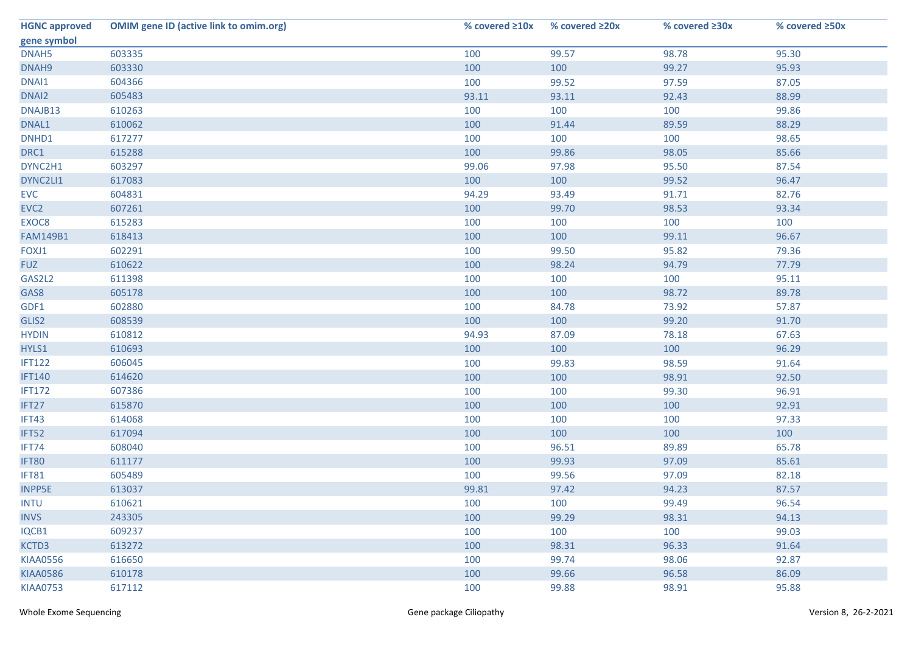| <b>HGNC approved</b> | <b>OMIM gene ID (active link to omim.org)</b> | % covered $\geq 10x$ | % covered ≥20x | % covered ≥30x | % covered ≥50x |
|----------------------|-----------------------------------------------|----------------------|----------------|----------------|----------------|
| gene symbol          |                                               |                      |                |                |                |
| DNAH5                | 603335                                        | 100                  | 99.57          | 98.78          | 95.30          |
| DNAH9                | 603330                                        | 100                  | 100            | 99.27          | 95.93          |
| DNAI1                | 604366                                        | 100                  | 99.52          | 97.59          | 87.05          |
| DNAI2                | 605483                                        | 93.11                | 93.11          | 92.43          | 88.99          |
| DNAJB13              | 610263                                        | 100                  | 100            | 100            | 99.86          |
| DNAL1                | 610062                                        | 100                  | 91.44          | 89.59          | 88.29          |
| DNHD1                | 617277                                        | 100                  | 100            | 100            | 98.65          |
| DRC1                 | 615288                                        | 100                  | 99.86          | 98.05          | 85.66          |
| DYNC2H1              | 603297                                        | 99.06                | 97.98          | 95.50          | 87.54          |
| DYNC2LI1             | 617083                                        | 100                  | 100            | 99.52          | 96.47          |
| <b>EVC</b>           | 604831                                        | 94.29                | 93.49          | 91.71          | 82.76          |
| EVC <sub>2</sub>     | 607261                                        | 100                  | 99.70          | 98.53          | 93.34          |
| EXOC8                | 615283                                        | 100                  | 100            | 100            | 100            |
| <b>FAM149B1</b>      | 618413                                        | 100                  | 100            | 99.11          | 96.67          |
| FOXJ1                | 602291                                        | 100                  | 99.50          | 95.82          | 79.36          |
| <b>FUZ</b>           | 610622                                        | 100                  | 98.24          | 94.79          | 77.79          |
| GAS2L2               | 611398                                        | 100                  | 100            | 100            | 95.11          |
| GAS8                 | 605178                                        | 100                  | 100            | 98.72          | 89.78          |
| GDF1                 | 602880                                        | 100                  | 84.78          | 73.92          | 57.87          |
| GLIS2                | 608539                                        | 100                  | 100            | 99.20          | 91.70          |
| <b>HYDIN</b>         | 610812                                        | 94.93                | 87.09          | 78.18          | 67.63          |
| HYLS1                | 610693                                        | 100                  | 100            | 100            | 96.29          |
| <b>IFT122</b>        | 606045                                        | 100                  | 99.83          | 98.59          | 91.64          |
| <b>IFT140</b>        | 614620                                        | 100                  | 100            | 98.91          | 92.50          |
| <b>IFT172</b>        | 607386                                        | 100                  | 100            | 99.30          | 96.91          |
| IFT27                | 615870                                        | 100                  | 100            | 100            | 92.91          |
| IFT43                | 614068                                        | 100                  | 100            | 100            | 97.33          |
| IFT52                | 617094                                        | 100                  | 100            | 100            | 100            |
| IFT74                | 608040                                        | 100                  | 96.51          | 89.89          | 65.78          |
| <b>IFT80</b>         | 611177                                        | 100                  | 99.93          | 97.09          | 85.61          |
| IFT81                | 605489                                        | 100                  | 99.56          | 97.09          | 82.18          |
| <b>INPP5E</b>        | 613037                                        | 99.81                | 97.42          | 94.23          | 87.57          |
| <b>INTU</b>          | 610621                                        | 100                  | 100            | 99.49          | 96.54          |
| <b>INVS</b>          | 243305                                        | 100                  | 99.29          | 98.31          | 94.13          |
| IQCB1                | 609237                                        | 100                  | 100            | 100            | 99.03          |
| KCTD3                | 613272                                        | 100                  | 98.31          | 96.33          | 91.64          |
| <b>KIAA0556</b>      | 616650                                        | 100                  | 99.74          | 98.06          | 92.87          |
| <b>KIAA0586</b>      | 610178                                        | 100                  | 99.66          | 96.58          | 86.09          |
| <b>KIAA0753</b>      | 617112                                        | 100                  | 99.88          | 98.91          | 95.88          |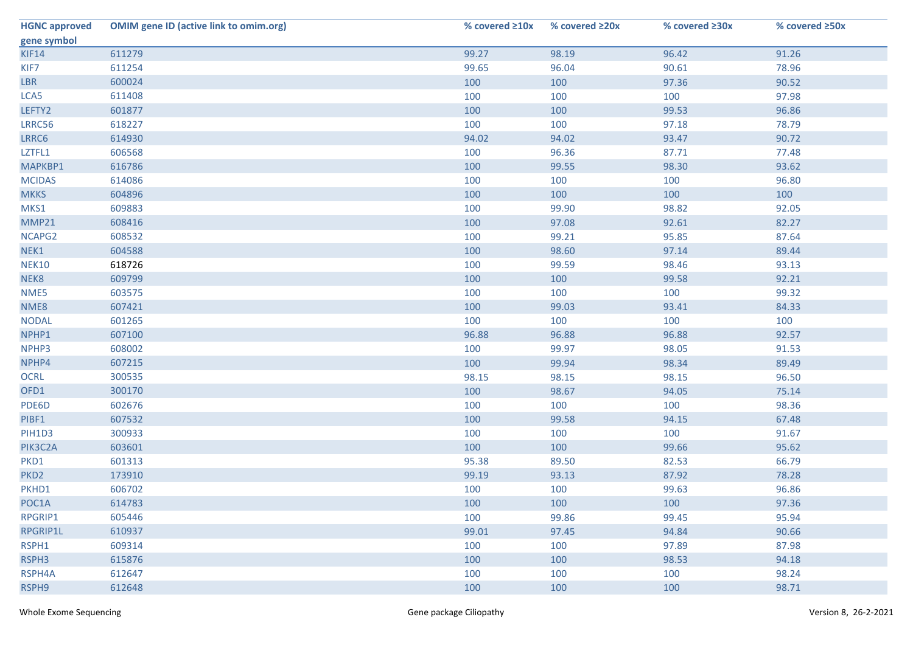| <b>HGNC approved</b> | <b>OMIM gene ID (active link to omim.org)</b> | % covered $\geq 10x$ | % covered ≥20x | % covered $\geq 30x$ | % covered ≥50x |
|----------------------|-----------------------------------------------|----------------------|----------------|----------------------|----------------|
| gene symbol          |                                               |                      |                |                      |                |
| KIF14                | 611279                                        | 99.27                | 98.19          | 96.42                | 91.26          |
| KIF7                 | 611254                                        | 99.65                | 96.04          | 90.61                | 78.96          |
| <b>LBR</b>           | 600024                                        | 100                  | 100            | 97.36                | 90.52          |
| LCA5                 | 611408                                        | 100                  | 100            | 100                  | 97.98          |
| LEFTY2               | 601877                                        | 100                  | 100            | 99.53                | 96.86          |
| LRRC56               | 618227                                        | 100                  | 100            | 97.18                | 78.79          |
| LRRC6                | 614930                                        | 94.02                | 94.02          | 93.47                | 90.72          |
| LZTFL1               | 606568                                        | 100                  | 96.36          | 87.71                | 77.48          |
| MAPKBP1              | 616786                                        | 100                  | 99.55          | 98.30                | 93.62          |
| <b>MCIDAS</b>        | 614086                                        | 100                  | 100            | 100                  | 96.80          |
| <b>MKKS</b>          | 604896                                        | 100                  | 100            | 100                  | 100            |
| MKS1                 | 609883                                        | 100                  | 99.90          | 98.82                | 92.05          |
| MMP21                | 608416                                        | 100                  | 97.08          | 92.61                | 82.27          |
| NCAPG2               | 608532                                        | 100                  | 99.21          | 95.85                | 87.64          |
| NEK1                 | 604588                                        | 100                  | 98.60          | 97.14                | 89.44          |
| <b>NEK10</b>         | 618726                                        | 100                  | 99.59          | 98.46                | 93.13          |
| NEK8                 | 609799                                        | 100                  | 100            | 99.58                | 92.21          |
| NME5                 | 603575                                        | 100                  | 100            | 100                  | 99.32          |
| NME8                 | 607421                                        | 100                  | 99.03          | 93.41                | 84.33          |
| <b>NODAL</b>         | 601265                                        | 100                  | 100            | 100                  | 100            |
| NPHP1                | 607100                                        | 96.88                | 96.88          | 96.88                | 92.57          |
| NPHP3                | 608002                                        | 100                  | 99.97          | 98.05                | 91.53          |
| NPHP4                | 607215                                        | 100                  | 99.94          | 98.34                | 89.49          |
| <b>OCRL</b>          | 300535                                        | 98.15                | 98.15          | 98.15                | 96.50          |
| OFD1                 | 300170                                        | 100                  | 98.67          | 94.05                | 75.14          |
| PDE6D                | 602676                                        | 100                  | 100            | 100                  | 98.36          |
| PIBF1                | 607532                                        | 100                  | 99.58          | 94.15                | 67.48          |
| PIH1D3               | 300933                                        | 100                  | 100            | 100                  | 91.67          |
| PIK3C2A              | 603601                                        | 100                  | 100            | 99.66                | 95.62          |
| PKD1                 | 601313                                        | 95.38                | 89.50          | 82.53                | 66.79          |
| PKD <sub>2</sub>     | 173910                                        | 99.19                | 93.13          | 87.92                | 78.28          |
| PKHD1                | 606702                                        | 100                  | 100            | 99.63                | 96.86          |
| POC1A                | 614783                                        | 100                  | 100            | 100                  | 97.36          |
| RPGRIP1              | 605446                                        | 100                  | 99.86          | 99.45                | 95.94          |
| RPGRIP1L             | 610937                                        | 99.01                | 97.45          | 94.84                | 90.66          |
| RSPH1                | 609314                                        | 100                  | 100            | 97.89                | 87.98          |
| RSPH3                | 615876                                        | 100                  | 100            | 98.53                | 94.18          |
| RSPH4A               | 612647                                        | 100                  | 100            | 100                  | 98.24          |
| RSPH9                | 612648                                        | 100                  | 100            | 100                  | 98.71          |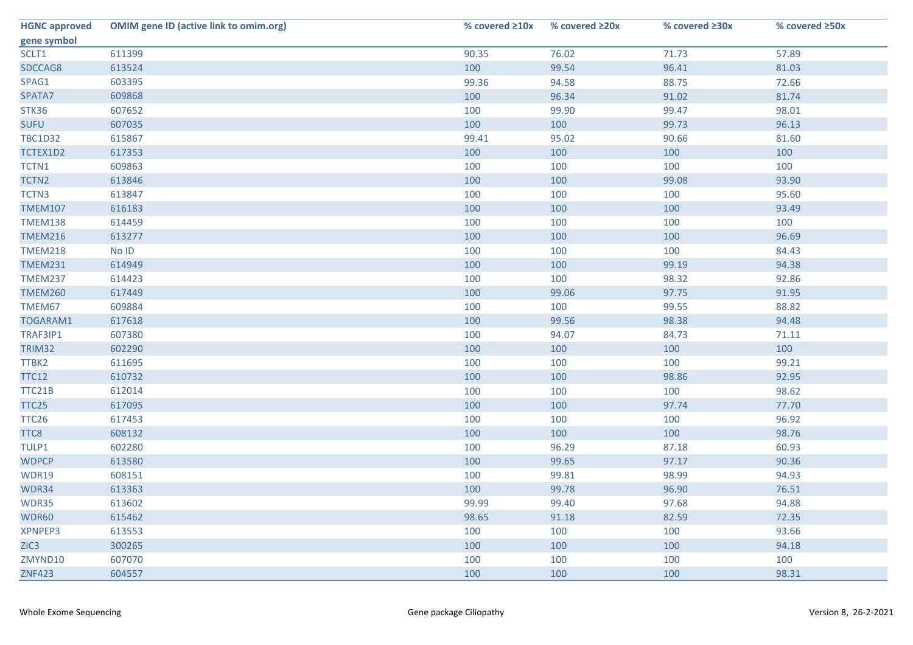| <b>HGNC approved</b> | <b>OMIM gene ID (active link to omim.org)</b> | % covered $\geq 10x$ | % covered $\geq 20x$ | % covered ≥30x | % covered ≥50x |
|----------------------|-----------------------------------------------|----------------------|----------------------|----------------|----------------|
| gene symbol          |                                               |                      |                      |                |                |
| SCLT1                | 611399                                        | 90.35                | 76.02                | 71.73          | 57.89          |
| SDCCAG8              | 613524                                        | 100                  | 99.54                | 96.41          | 81.03          |
| SPAG1                | 603395                                        | 99.36                | 94.58                | 88.75          | 72.66          |
| SPATA7               | 609868                                        | 100                  | 96.34                | 91.02          | 81.74          |
| STK36                | 607652                                        | 100                  | 99.90                | 99.47          | 98.01          |
| <b>SUFU</b>          | 607035                                        | 100                  | 100                  | 99.73          | 96.13          |
| <b>TBC1D32</b>       | 615867                                        | 99.41                | 95.02                | 90.66          | 81.60          |
| TCTEX1D2             | 617353                                        | 100                  | 100                  | 100            | 100            |
| TCTN1                | 609863                                        | 100                  | 100                  | 100            | 100            |
| TCTN2                | 613846                                        | 100                  | 100                  | 99.08          | 93.90          |
| TCTN3                | 613847                                        | 100                  | 100                  | 100            | 95.60          |
| <b>TMEM107</b>       | 616183                                        | 100                  | 100                  | 100            | 93.49          |
| <b>TMEM138</b>       | 614459                                        | 100                  | 100                  | 100            | 100            |
| <b>TMEM216</b>       | 613277                                        | 100                  | 100                  | 100            | 96.69          |
| <b>TMEM218</b>       | No ID                                         | 100                  | 100                  | 100            | 84.43          |
| <b>TMEM231</b>       | 614949                                        | 100                  | 100                  | 99.19          | 94.38          |
| <b>TMEM237</b>       | 614423                                        | 100                  | 100                  | 98.32          | 92.86          |
| <b>TMEM260</b>       | 617449                                        | 100                  | 99.06                | 97.75          | 91.95          |
| TMEM67               | 609884                                        | 100                  | 100                  | 99.55          | 88.82          |
| TOGARAM1             | 617618                                        | 100                  | 99.56                | 98.38          | 94.48          |
| TRAF3IP1             | 607380                                        | 100                  | 94.07                | 84.73          | 71.11          |
| <b>TRIM32</b>        | 602290                                        | 100                  | 100                  | 100            | 100            |
| TTBK2                | 611695                                        | 100                  | 100                  | 100            | 99.21          |
| <b>TTC12</b>         | 610732                                        | 100                  | 100                  | 98.86          | 92.95          |
| TTC21B               | 612014                                        | 100                  | 100                  | 100            | 98.62          |
| TTC25                | 617095                                        | 100                  | 100                  | 97.74          | 77.70          |
| TTC <sub>26</sub>    | 617453                                        | 100                  | 100                  | 100            | 96.92          |
| TTC8                 | 608132                                        | 100                  | 100                  | 100            | 98.76          |
| TULP1                | 602280                                        | 100                  | 96.29                | 87.18          | 60.93          |
| <b>WDPCP</b>         | 613580                                        | 100                  | 99.65                | 97.17          | 90.36          |
| WDR19                | 608151                                        | 100                  | 99.81                | 98.99          | 94.93          |
| WDR34                | 613363                                        | 100                  | 99.78                | 96.90          | 76.51          |
| WDR35                | 613602                                        | 99.99                | 99.40                | 97.68          | 94.88          |
| WDR60                | 615462                                        | 98.65                | 91.18                | 82.59          | 72.35          |
| XPNPEP3              | 613553                                        | 100                  | 100                  | 100            | 93.66          |
| ZIC <sub>3</sub>     | 300265                                        | 100                  | 100                  | 100            | 94.18          |
| ZMYND10              | 607070                                        | 100                  | 100                  | 100            | 100            |
| <b>ZNF423</b>        | 604557                                        | 100                  | 100                  | 100            | 98.31          |